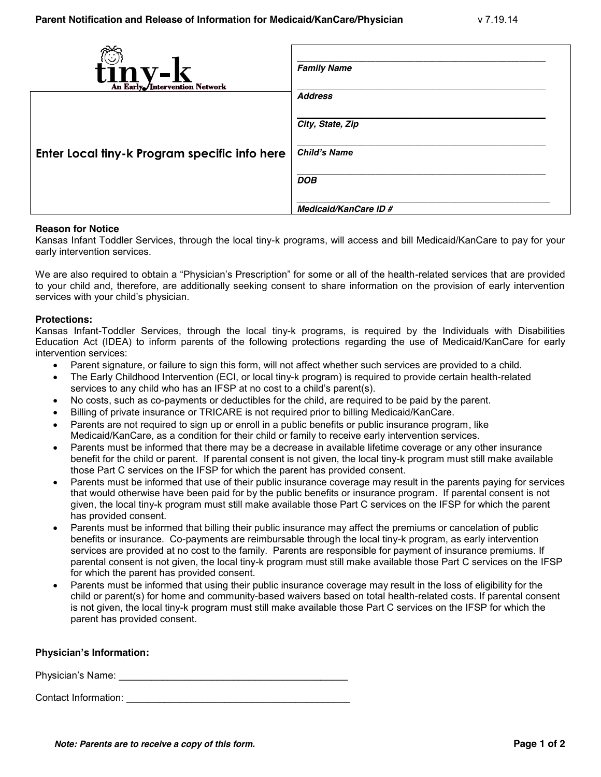| tinv-l<br>An Early <i>Intervention Network</i> | <b>Family Name</b>    |
|------------------------------------------------|-----------------------|
|                                                | <b>Address</b>        |
|                                                |                       |
|                                                | City, State, Zip      |
|                                                |                       |
| Enter Local tiny-k Program specific info here  | <b>Child's Name</b>   |
|                                                |                       |
|                                                | <b>DOB</b>            |
|                                                | Medicaid/KanCare ID # |
|                                                |                       |

# **Reason for Notice**

Kansas Infant Toddler Services, through the local tiny-k programs, will access and bill Medicaid/KanCare to pay for your early intervention services.

We are also required to obtain a "Physician's Prescription" for some or all of the health-related services that are provided to your child and, therefore, are additionally seeking consent to share information on the provision of early intervention services with your child's physician.

#### **Protections:**

Kansas Infant-Toddler Services, through the local tiny-k programs, is required by the Individuals with Disabilities Education Act (IDEA) to inform parents of the following protections regarding the use of Medicaid/KanCare for early intervention services:

- Parent signature, or failure to sign this form, will not affect whether such services are provided to a child.
- The Early Childhood Intervention (ECI, or local tiny-k program) is required to provide certain health-related services to any child who has an IFSP at no cost to a child's parent(s).
- No costs, such as co-payments or deductibles for the child, are required to be paid by the parent.
- Billing of private insurance or TRICARE is not required prior to billing Medicaid/KanCare.
- Parents are not required to sign up or enroll in a public benefits or public insurance program, like Medicaid/KanCare, as a condition for their child or family to receive early intervention services.
- Parents must be informed that there may be a decrease in available lifetime coverage or any other insurance benefit for the child or parent. If parental consent is not given, the local tiny-k program must still make available those Part C services on the IFSP for which the parent has provided consent.
- Parents must be informed that use of their public insurance coverage may result in the parents paying for services that would otherwise have been paid for by the public benefits or insurance program. If parental consent is not given, the local tiny-k program must still make available those Part C services on the IFSP for which the parent has provided consent.
- Parents must be informed that billing their public insurance may affect the premiums or cancelation of public benefits or insurance. Co-payments are reimbursable through the local tiny-k program, as early intervention services are provided at no cost to the family. Parents are responsible for payment of insurance premiums. If parental consent is not given, the local tiny-k program must still make available those Part C services on the IFSP for which the parent has provided consent.
- Parents must be informed that using their public insurance coverage may result in the loss of eligibility for the child or parent(s) for home and community-based waivers based on total health-related costs. If parental consent is not given, the local tiny-k program must still make available those Part C services on the IFSP for which the parent has provided consent.

# **Physician's Information:**

Physician's Name: **Example 20** and 20 and 20 and 20 and 20 and 20 and 20 and 20 and 20 and 20 and 20 and 20 and 20 and 20 and 20 and 20 and 20 and 20 and 20 and 20 and 20 and 20 and 20 and 20 and 20 and 20 and 20 and 20 an

Contact Information: **Example 20** and 20 and 20 and 20 and 20 and 20 and 20 and 20 and 20 and 20 and 20 and 20 and 20 and 20 and 20 and 20 and 20 and 20 and 20 and 20 and 20 and 20 and 20 and 20 and 20 and 20 and 20 and 20